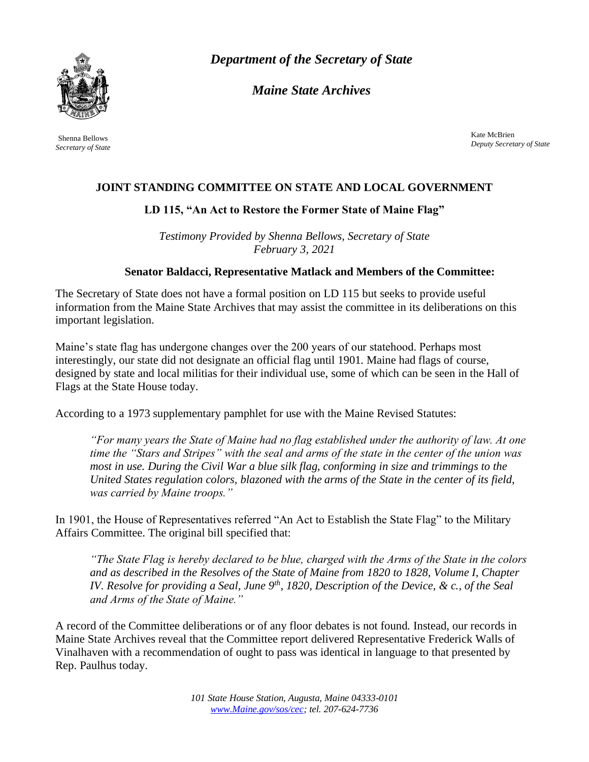

Shenna Bellows *Secretary of State* *Department of the Secretary of State*

*Maine State Archives*

Kate McBrien *Deputy Secretary of State*

## **JOINT STANDING COMMITTEE ON STATE AND LOCAL GOVERNMENT**

## **LD 115, "An Act to Restore the Former State of Maine Flag"**

*Testimony Provided by Shenna Bellows, Secretary of State February 3, 2021*

## **Senator Baldacci, Representative Matlack and Members of the Committee:**

The Secretary of State does not have a formal position on LD 115 but seeks to provide useful information from the Maine State Archives that may assist the committee in its deliberations on this important legislation.

Maine's state flag has undergone changes over the 200 years of our statehood. Perhaps most interestingly, our state did not designate an official flag until 1901. Maine had flags of course, designed by state and local militias for their individual use, some of which can be seen in the Hall of Flags at the State House today.

According to a 1973 supplementary pamphlet for use with the Maine Revised Statutes:

*"For many years the State of Maine had no flag established under the authority of law. At one time the "Stars and Stripes" with the seal and arms of the state in the center of the union was most in use. During the Civil War a blue silk flag, conforming in size and trimmings to the United States regulation colors, blazoned with the arms of the State in the center of its field, was carried by Maine troops."*

In 1901, the House of Representatives referred "An Act to Establish the State Flag" to the Military Affairs Committee. The original bill specified that:

*"The State Flag is hereby declared to be blue, charged with the Arms of the State in the colors and as described in the Resolves of the State of Maine from 1820 to 1828, Volume I, Chapter IV. Resolve for providing a Seal, June 9th, 1820, Description of the Device, & c., of the Seal and Arms of the State of Maine."*

A record of the Committee deliberations or of any floor debates is not found. Instead, our records in Maine State Archives reveal that the Committee report delivered Representative Frederick Walls of Vinalhaven with a recommendation of ought to pass was identical in language to that presented by Rep. Paulhus today.